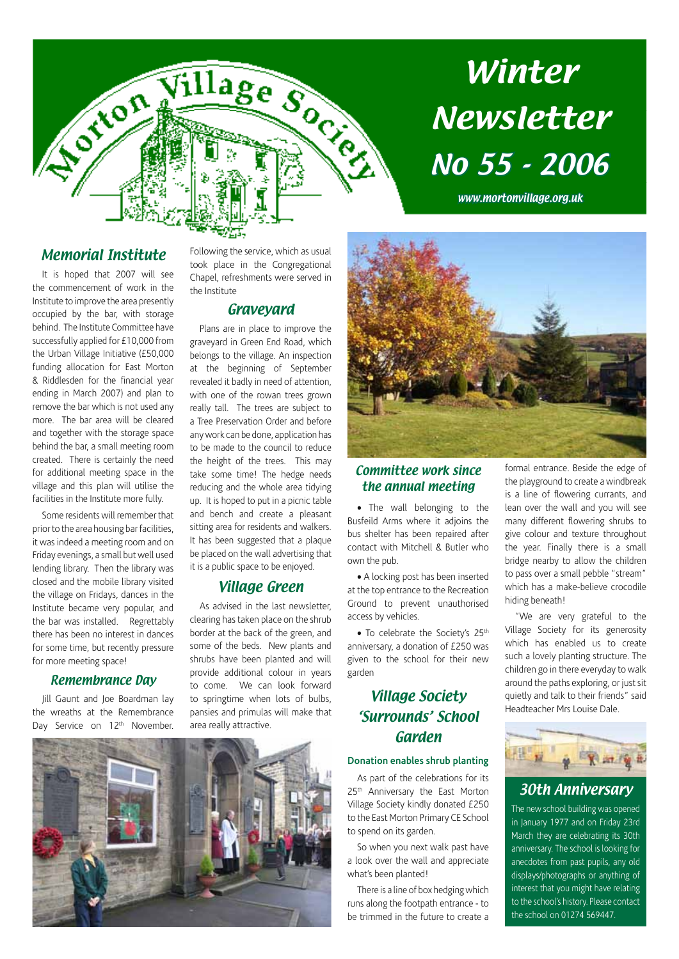

# Winter Newsletter No 55 - 2006

www.mortonvillage.org.uk

#### Memorial Institute

It is hoped that 2007 will see the commencement of work in the Institute to improve the area presently occupied by the bar, with storage behind. The Institute Committee have successfully applied for £10,000 from the Urban Village Initiative (£50,000 funding allocation for East Morton & Riddlesden for the financial year ending in March 2007) and plan to remove the bar which is not used any more. The bar area will be cleared and together with the storage space behind the bar, a small meeting room created. There is certainly the need for additional meeting space in the village and this plan will utilise the facilities in the Institute more fully.

Some residents will remember that prior to the area housing bar facilities, it was indeed a meeting room and on Friday evenings, a small but well used lending library. Then the library was closed and the mobile library visited the village on Fridays, dances in the Institute became very popular, and the bar was installed. Regrettably there has been no interest in dances for some time, but recently pressure for more meeting space!

#### Remembrance Day

Jill Gaunt and Joe Boardman lay the wreaths at the Remembrance Day Service on 12<sup>th</sup> November.

Following the service, which as usual took place in the Congregational Chapel, refreshments were served in the Institute

#### Graveyard

Plans are in place to improve the graveyard in Green End Road, which belongs to the village. An inspection at the beginning of September revealed it badly in need of attention, with one of the rowan trees grown really tall. The trees are subject to a Tree Preservation Order and before any work can be done, application has to be made to the council to reduce the height of the trees. This may take some time! The hedge needs reducing and the whole area tidying up. It is hoped to put in a picnic table and bench and create a pleasant sitting area for residents and walkers. It has been suggested that a plaque be placed on the wall advertising that it is a public space to be enjoyed.

#### Village Green

As advised in the last newsletter, clearing has taken place on the shrub border at the back of the green, and some of the beds. New plants and shrubs have been planted and will provide additional colour in years to come. We can look forward to springtime when lots of bulbs, pansies and primulas will make that area really attractive.



#### Committee work since the annual meeting

• The wall belonging to the Busfeild Arms where it adjoins the bus shelter has been repaired after contact with Mitchell & Butler who own the pub.

• A locking post has been inserted at the top entrance to the Recreation Ground to prevent unauthorised access by vehicles.

• To celebrate the Society's 25<sup>th</sup> anniversary, a donation of £250 was given to the school for their new garden

### Village Society 'Surrounds' School Garden

#### **Donation enables shrub planting**

As part of the celebrations for its 25<sup>th</sup> Anniversary the East Morton Village Society kindly donated £250 to the East Morton Primary CE School to spend on its garden.

So when you next walk past have a look over the wall and appreciate what's been planted!

There is a line of box hedging which runs along the footpath entrance - to be trimmed in the future to create a formal entrance. Beside the edge of the playground to create a windbreak is a line of flowering currants, and lean over the wall and you will see many different flowering shrubs to give colour and texture throughout the year. Finally there is a small bridge nearby to allow the children to pass over a small pebble "stream" which has a make-believe crocodile hiding beneath!

"We are very grateful to the Village Society for its generosity which has enabled us to create such a lovely planting structure. The children go in there everyday to walk around the paths exploring, or just sit quietly and talk to their friends" said Headteacher Mrs Louise Dale.



#### 30th Anniversary

The new school building was opened in January 1977 and on Friday 23rd March they are celebrating its 30th anniversary. The school is looking for anecdotes from past pupils, any old displays/photographs or anything of interest that you might have relating to the school's history. Please contact the school on 01274 569447.

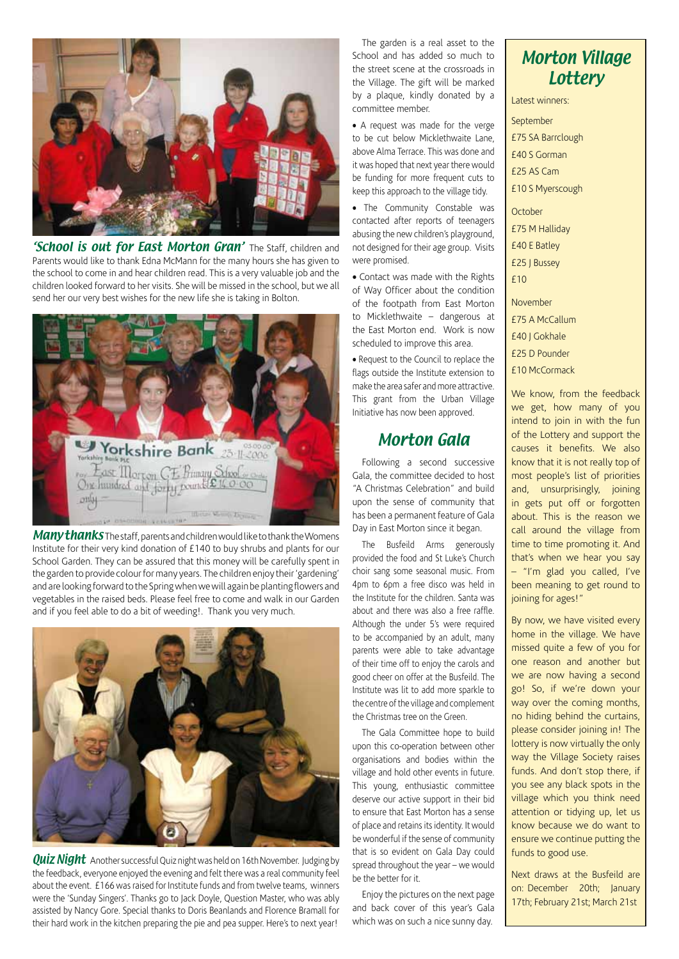

**'School is out for East Morton Gran'** The Staff, children and Parents would like to thank Edna McMann for the many hours she has given to the school to come in and hear children read. This is a very valuable job and the children looked forward to her visits. She will be missed in the school, but we all send her our very best wishes for the new life she is taking in Bolton.



Many thanks The staff, parents and children would like to thank the Womens Institute for their very kind donation of £140 to buy shrubs and plants for our School Garden. They can be assured that this money will be carefully spent in the garden to provide colour for many years. The children enjoy their 'gardening' and are looking forward to the Spring when we will again be planting flowers and vegetables in the raised beds. Please feel free to come and walk in our Garden and if you feel able to do a bit of weeding!. Thank you very much.



**Quiz Night** Another successful Quiz night was held on 16th November. Judging by the feedback, everyone enjoyed the evening and felt there was a real community feel about the event. £166 was raised for Institute funds and from twelve teams, winners were the 'Sunday Singers'. Thanks go to Jack Doyle, Question Master, who was ably assisted by Nancy Gore. Special thanks to Doris Beanlands and Florence Bramall for their hard work in the kitchen preparing the pie and pea supper. Here's to next year!

The garden is a real asset to the School and has added so much to the street scene at the crossroads in the Village. The gift will be marked by a plaque, kindly donated by a committee member.

• A request was made for the verge to be cut below Micklethwaite Lane, above Alma Terrace. This was done and it was hoped that next year there would be funding for more frequent cuts to keep this approach to the village tidy.

• The Community Constable was contacted after reports of teenagers abusing the new children's playground, not designed for their age group. Visits were promised.

• Contact was made with the Rights of Way Officer about the condition of the footpath from East Morton to Micklethwaite – dangerous at the East Morton end. Work is now scheduled to improve this area.

• Request to the Council to replace the flags outside the Institute extension to make the area safer and more attractive. This grant from the Urban Village Initiative has now been approved.

### Morton Gala

Following a second successive Gala, the committee decided to host "A Christmas Celebration" and build upon the sense of community that has been a permanent feature of Gala Day in East Morton since it began.

The Busfeild Arms generously provided the food and St Luke's Church choir sang some seasonal music. From 4pm to 6pm a free disco was held in the Institute for the children. Santa was about and there was also a free raffle. Although the under 5's were required to be accompanied by an adult, many parents were able to take advantage of their time off to enjoy the carols and good cheer on offer at the Busfeild. The Institute was lit to add more sparkle to the centre of the village and complement the Christmas tree on the Green.

The Gala Committee hope to build upon this co-operation between other organisations and bodies within the village and hold other events in future. This young, enthusiastic committee deserve our active support in their bid to ensure that East Morton has a sense of place and retains its identity. It would be wonderful if the sense of community that is so evident on Gala Day could spread throughout the year – we would be the better for it.

Enjoy the pictures on the next page and back cover of this year's Gala which was on such a nice sunny day.

## Morton Village **Lottery**

Latest winners:

September £75 SA Barrclough £40 S Gorman £25 AS Cam £10 S Myerscough

**October** £75 M Halliday £40 E Batley £25 J Bussey £10

November

£75 A McCallum

£40 J Gokhale

£25 D Pounder

£10 McCormack

We know, from the feedback we get, how many of you intend to join in with the fun of the Lottery and support the causes it benefits. We also know that it is not really top of most people's list of priorities and, unsurprisingly, joining in gets put off or forgotten about. This is the reason we call around the village from time to time promoting it. And that's when we hear you say – "I'm glad you called, I've been meaning to get round to joining for ages!"

By now, we have visited every home in the village. We have missed quite a few of you for one reason and another but we are now having a second go! So, if we're down your way over the coming months, no hiding behind the curtains, please consider joining in! The lottery is now virtually the only way the Village Society raises funds. And don't stop there, if you see any black spots in the village which you think need attention or tidying up, let us know because we do want to ensure we continue putting the funds to good use.

Next draws at the Busfeild are on: December 20th; January 17th; February 21st; March 21st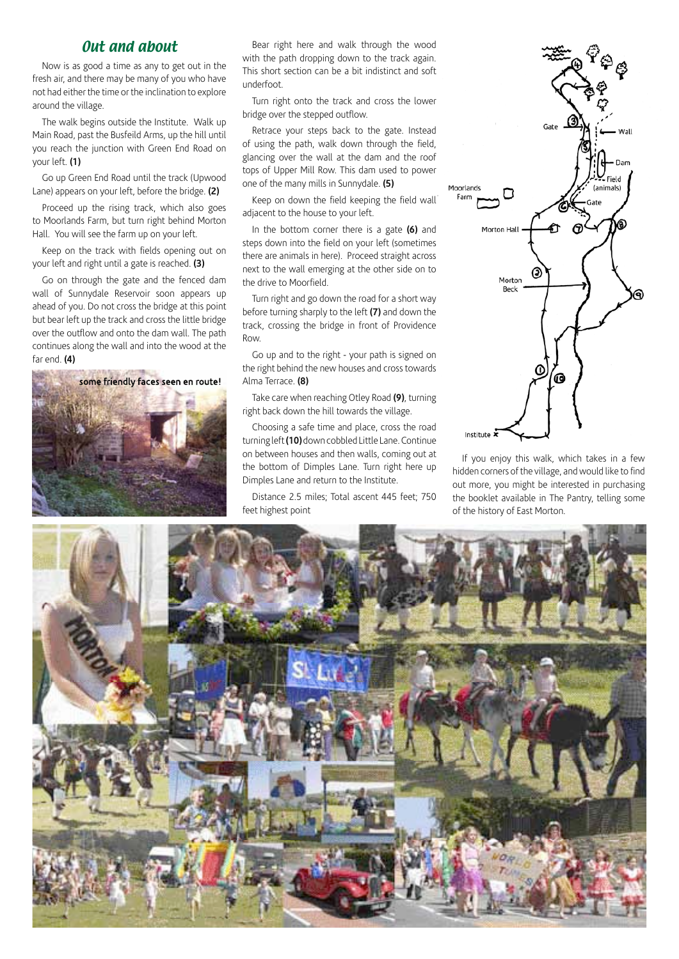#### Out and about

Now is as good a time as any to get out in the fresh air, and there may be many of you who have not had either the time or the inclination to explore around the village.

The walk begins outside the Institute. Walk up Main Road, past the Busfeild Arms, up the hill until you reach the junction with Green End Road on your left. **(1)**

Go up Green End Road until the track (Upwood Lane) appears on your left, before the bridge. **(2)**

Proceed up the rising track, which also goes to Moorlands Farm, but turn right behind Morton Hall. You will see the farm up on your left.

Keep on the track with fields opening out on your left and right until a gate is reached. **(3)**

Go on through the gate and the fenced dam wall of Sunnydale Reservoir soon appears up ahead of you. Do not cross the bridge at this point but bear left up the track and cross the little bridge over the outflow and onto the dam wall. The path continues along the wall and into the wood at the far end. **(4)**

some friendly faces seen en route!

Bear right here and walk through the wood with the path dropping down to the track again. This short section can be a bit indistinct and soft underfoot.

Turn right onto the track and cross the lower bridge over the stepped outflow.

Retrace your steps back to the gate. Instead of using the path, walk down through the field, glancing over the wall at the dam and the roof tops of Upper Mill Row. This dam used to power one of the many mills in Sunnydale. **(5)**

Keep on down the field keeping the field wall adjacent to the house to your left.

In the bottom corner there is a gate **(6)** and steps down into the field on your left (sometimes there are animals in here). Proceed straight across next to the wall emerging at the other side on to the drive to Moorfield.

Turn right and go down the road for a short way before turning sharply to the left **(7)** and down the track, crossing the bridge in front of Providence Row.

Go up and to the right - your path is signed on the right behind the new houses and cross towards Alma Terrace. **(8)**

Take care when reaching Otley Road **(9)**, turning right back down the hill towards the village.

Choosing a safe time and place, cross the road turning left **(10)** down cobbled Little Lane. Continue on between houses and then walls, coming out at the bottom of Dimples Lane. Turn right here up Dimples Lane and return to the Institute.

Distance 2.5 miles; Total ascent 445 feet; 750 feet highest point



If you enjoy this walk, which takes in a few hidden corners of the village, and would like to find out more, you might be interested in purchasing the booklet available in The Pantry, telling some of the history of East Morton.